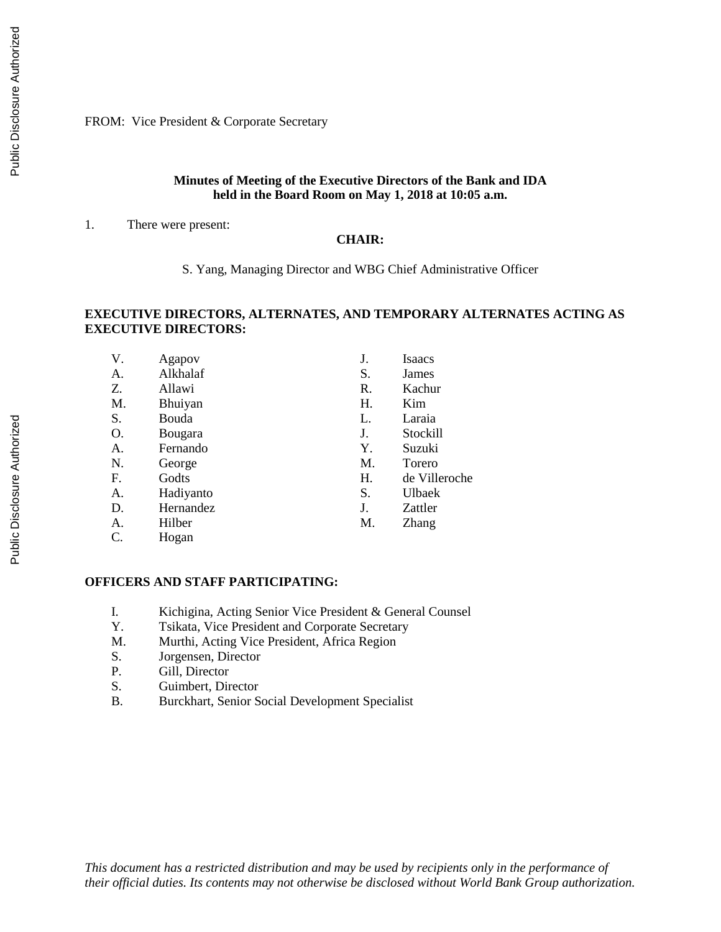FROM: Vice President & Corporate Secretary

#### **Minutes of Meeting of the Executive Directors of the Bank and IDA held in the Board Room on May 1, 2018 at 10:05 a.m.**

1. There were present:

#### **CHAIR:**

S. Yang, Managing Director and WBG Chief Administrative Officer

#### **EXECUTIVE DIRECTORS, ALTERNATES, AND TEMPORARY ALTERNATES ACTING AS EXECUTIVE DIRECTORS:**

| V. | Agapov    | J. | Isaacs        |
|----|-----------|----|---------------|
| А. | Alkhalaf  | S. | James         |
| Z. | Allawi    | R. | Kachur        |
| M. | Bhuiyan   | Н. | Kim           |
| S. | Bouda     | L. | Laraia        |
| О. | Bougara   | J. | Stockill      |
| A. | Fernando  | Υ. | Suzuki        |
| N. | George    | M. | Torero        |
| F. | Godts     | Н. | de Villeroche |
| А. | Hadiyanto | S. | Ulbaek        |
| D. | Hernandez | J. | Zattler       |
| А. | Hilber    | M. | Zhang         |
| C. | Hogan     |    |               |

#### **OFFICERS AND STAFF PARTICIPATING:**

- I. Kichigina, Acting Senior Vice President & General Counsel
- Y. Tsikata, Vice President and Corporate Secretary
- M. Murthi, Acting Vice President, Africa Region
- S. Jorgensen, Director
- P. Gill, Director
- S. Guimbert, Director
- B. Burckhart, Senior Social Development Specialist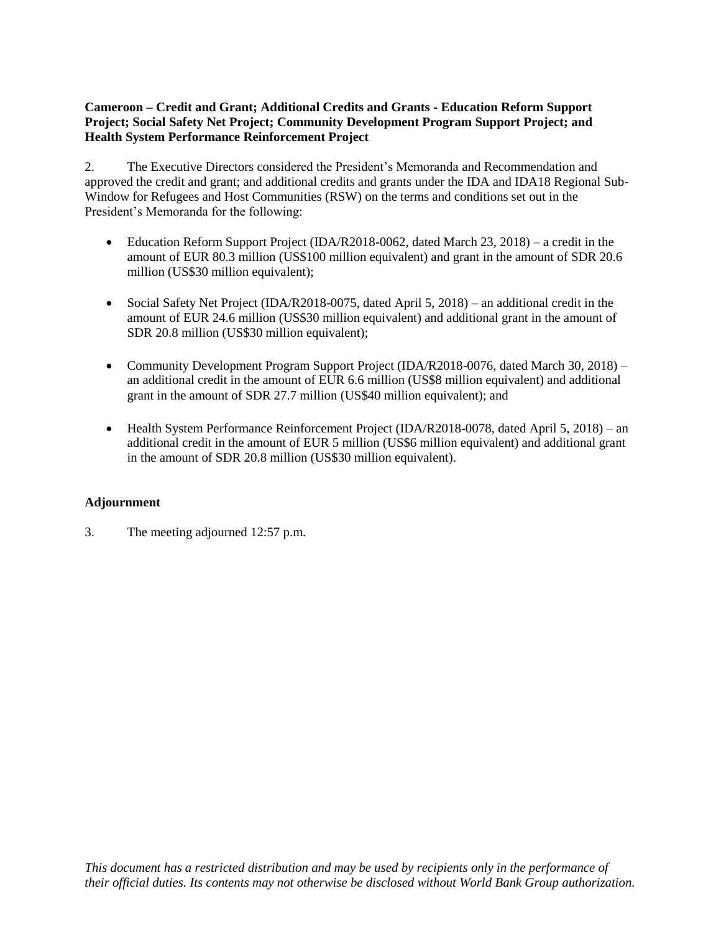## **Cameroon – Credit and Grant; Additional Credits and Grants - Education Reform Support Project; Social Safety Net Project; Community Development Program Support Project; and Health System Performance Reinforcement Project**

2. The Executive Directors considered the President's Memoranda and Recommendation and approved the credit and grant; and additional credits and grants under the IDA and IDA18 Regional Sub-Window for Refugees and Host Communities (RSW) on the terms and conditions set out in the President's Memoranda for the following:

- Education Reform Support Project (IDA/R2018-0062, dated March 23, 2018) a credit in the amount of EUR 80.3 million (US\$100 million equivalent) and grant in the amount of SDR 20.6 million (US\$30 million equivalent);
- Social Safety Net Project (IDA/R2018-0075, dated April 5, 2018) an additional credit in the amount of EUR 24.6 million (US\$30 million equivalent) and additional grant in the amount of SDR 20.8 million (US\$30 million equivalent);
- Community Development Program Support Project (IDA/R2018-0076, dated March 30, 2018) an additional credit in the amount of EUR 6.6 million (US\$8 million equivalent) and additional grant in the amount of SDR 27.7 million (US\$40 million equivalent); and
- Health System Performance Reinforcement Project (IDA/R2018-0078, dated April 5, 2018) an additional credit in the amount of EUR 5 million (US\$6 million equivalent) and additional grant in the amount of SDR 20.8 million (US\$30 million equivalent).

# **Adjournment**

3. The meeting adjourned 12:57 p.m.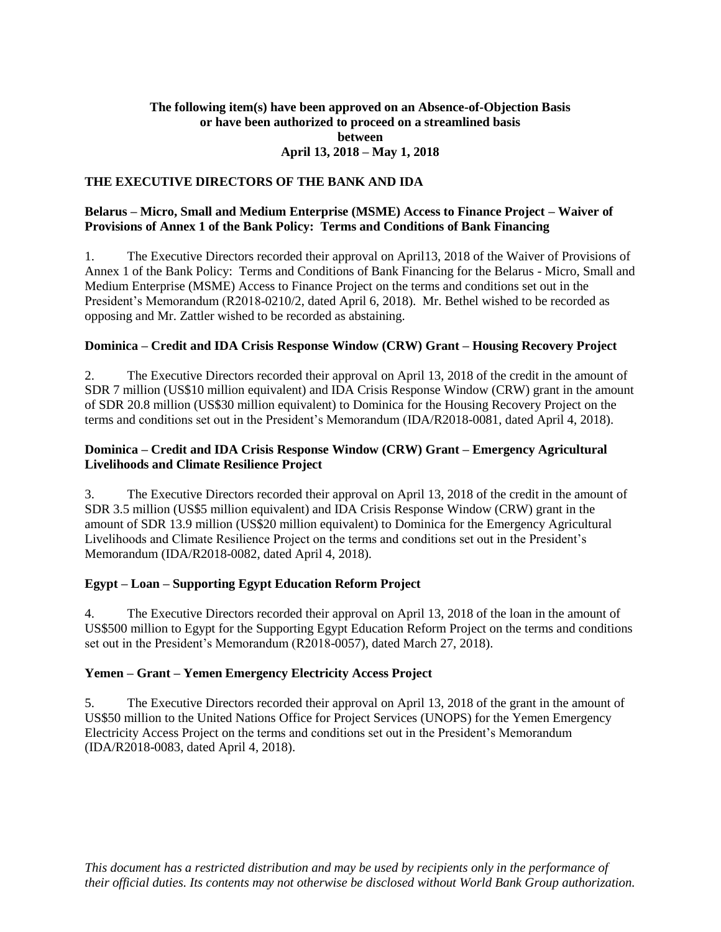#### **The following item(s) have been approved on an Absence-of-Objection Basis or have been authorized to proceed on a streamlined basis between April 13, 2018 – May 1, 2018**

# **THE EXECUTIVE DIRECTORS OF THE BANK AND IDA**

#### **Belarus – Micro, Small and Medium Enterprise (MSME) Access to Finance Project – Waiver of Provisions of Annex 1 of the Bank Policy: Terms and Conditions of Bank Financing**

1. The Executive Directors recorded their approval on April13, 2018 of the Waiver of Provisions of Annex 1 of the Bank Policy: Terms and Conditions of Bank Financing for the Belarus - Micro, Small and Medium Enterprise (MSME) Access to Finance Project on the terms and conditions set out in the President's Memorandum (R2018-0210/2, dated April 6, 2018). Mr. Bethel wished to be recorded as opposing and Mr. Zattler wished to be recorded as abstaining.

#### **Dominica – Credit and IDA Crisis Response Window (CRW) Grant – Housing Recovery Project**

2. The Executive Directors recorded their approval on April 13, 2018 of the credit in the amount of SDR 7 million (US\$10 million equivalent) and IDA Crisis Response Window (CRW) grant in the amount of SDR 20.8 million (US\$30 million equivalent) to Dominica for the Housing Recovery Project on the terms and conditions set out in the President's Memorandum (IDA/R2018-0081, dated April 4, 2018).

#### **Dominica – Credit and IDA Crisis Response Window (CRW) Grant – Emergency Agricultural Livelihoods and Climate Resilience Project**

3. The Executive Directors recorded their approval on April 13, 2018 of the credit in the amount of SDR 3.5 million (US\$5 million equivalent) and IDA Crisis Response Window (CRW) grant in the amount of SDR 13.9 million (US\$20 million equivalent) to Dominica for the Emergency Agricultural Livelihoods and Climate Resilience Project on the terms and conditions set out in the President's Memorandum (IDA/R2018-0082, dated April 4, 2018).

#### **Egypt – Loan – Supporting Egypt Education Reform Project**

4. The Executive Directors recorded their approval on April 13, 2018 of the loan in the amount of US\$500 million to Egypt for the Supporting Egypt Education Reform Project on the terms and conditions set out in the President's Memorandum (R2018-0057), dated March 27, 2018).

#### **Yemen – Grant – Yemen Emergency Electricity Access Project**

5. The Executive Directors recorded their approval on April 13, 2018 of the grant in the amount of US\$50 million to the United Nations Office for Project Services (UNOPS) for the Yemen Emergency Electricity Access Project on the terms and conditions set out in the President's Memorandum (IDA/R2018-0083, dated April 4, 2018).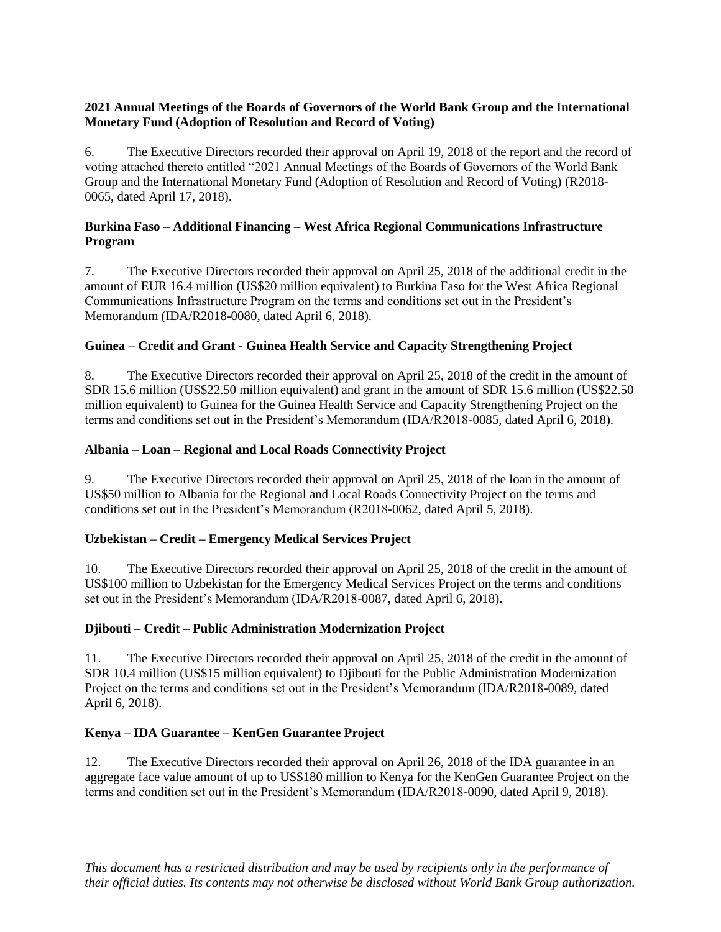# **2021 Annual Meetings of the Boards of Governors of the World Bank Group and the International Monetary Fund (Adoption of Resolution and Record of Voting)**

6. The Executive Directors recorded their approval on April 19, 2018 of the report and the record of voting attached thereto entitled "2021 Annual Meetings of the Boards of Governors of the World Bank Group and the International Monetary Fund (Adoption of Resolution and Record of Voting) (R2018- 0065, dated April 17, 2018).

## **Burkina Faso – Additional Financing – West Africa Regional Communications Infrastructure Program**

7. The Executive Directors recorded their approval on April 25, 2018 of the additional credit in the amount of EUR 16.4 million (US\$20 million equivalent) to Burkina Faso for the West Africa Regional Communications Infrastructure Program on the terms and conditions set out in the President's Memorandum (IDA/R2018-0080, dated April 6, 2018).

# **Guinea – Credit and Grant - Guinea Health Service and Capacity Strengthening Project**

8. The Executive Directors recorded their approval on April 25, 2018 of the credit in the amount of SDR 15.6 million (US\$22.50 million equivalent) and grant in the amount of SDR 15.6 million (US\$22.50 million equivalent) to Guinea for the Guinea Health Service and Capacity Strengthening Project on the terms and conditions set out in the President's Memorandum (IDA/R2018-0085, dated April 6, 2018).

### **Albania – Loan – Regional and Local Roads Connectivity Project**

9. The Executive Directors recorded their approval on April 25, 2018 of the loan in the amount of US\$50 million to Albania for the Regional and Local Roads Connectivity Project on the terms and conditions set out in the President's Memorandum (R2018-0062, dated April 5, 2018).

# **Uzbekistan – Credit – Emergency Medical Services Project**

10. The Executive Directors recorded their approval on April 25, 2018 of the credit in the amount of US\$100 million to Uzbekistan for the Emergency Medical Services Project on the terms and conditions set out in the President's Memorandum (IDA/R2018-0087, dated April 6, 2018).

#### **Djibouti – Credit – Public Administration Modernization Project**

11. The Executive Directors recorded their approval on April 25, 2018 of the credit in the amount of SDR 10.4 million (US\$15 million equivalent) to Djibouti for the Public Administration Modernization Project on the terms and conditions set out in the President's Memorandum (IDA/R2018-0089, dated April 6, 2018).

# **Kenya – IDA Guarantee – KenGen Guarantee Project**

12. The Executive Directors recorded their approval on April 26, 2018 of the IDA guarantee in an aggregate face value amount of up to US\$180 million to Kenya for the KenGen Guarantee Project on the terms and condition set out in the President's Memorandum (IDA/R2018-0090, dated April 9, 2018).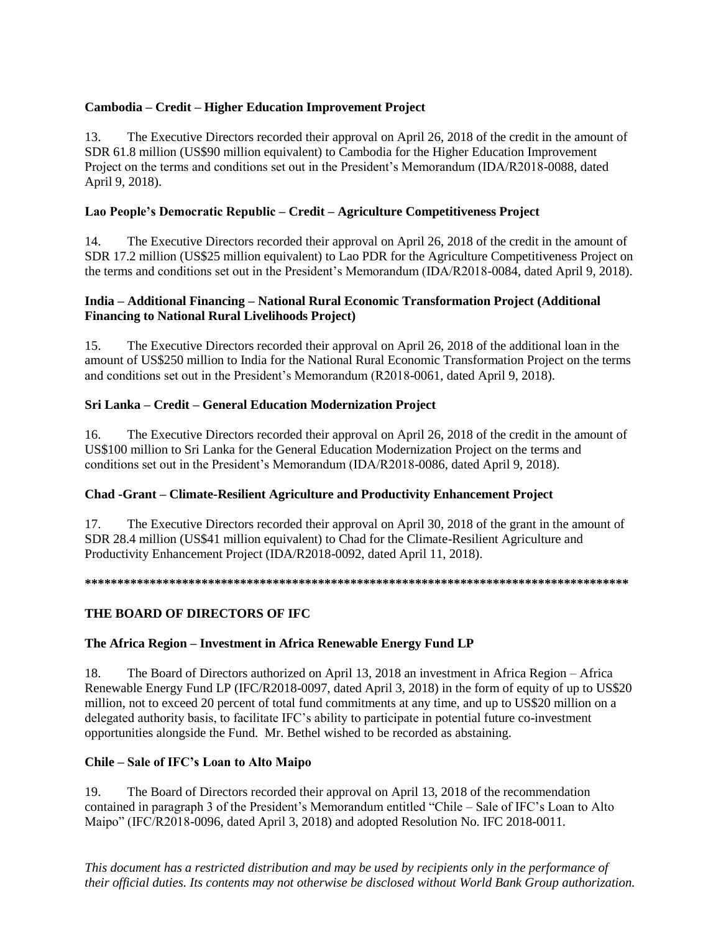# **Cambodia – Credit – Higher Education Improvement Project**

13. The Executive Directors recorded their approval on April 26, 2018 of the credit in the amount of SDR 61.8 million (US\$90 million equivalent) to Cambodia for the Higher Education Improvement Project on the terms and conditions set out in the President's Memorandum (IDA/R2018-0088, dated April 9, 2018).

# **Lao People's Democratic Republic – Credit – Agriculture Competitiveness Project**

14. The Executive Directors recorded their approval on April 26, 2018 of the credit in the amount of SDR 17.2 million (US\$25 million equivalent) to Lao PDR for the Agriculture Competitiveness Project on the terms and conditions set out in the President's Memorandum (IDA/R2018-0084, dated April 9, 2018).

## **India – Additional Financing – National Rural Economic Transformation Project (Additional Financing to National Rural Livelihoods Project)**

15. The Executive Directors recorded their approval on April 26, 2018 of the additional loan in the amount of US\$250 million to India for the National Rural Economic Transformation Project on the terms and conditions set out in the President's Memorandum (R2018-0061, dated April 9, 2018).

# **Sri Lanka – Credit – General Education Modernization Project**

16. The Executive Directors recorded their approval on April 26, 2018 of the credit in the amount of US\$100 million to Sri Lanka for the General Education Modernization Project on the terms and conditions set out in the President's Memorandum (IDA/R2018-0086, dated April 9, 2018).

# **Chad -Grant – Climate-Resilient Agriculture and Productivity Enhancement Project**

17. The Executive Directors recorded their approval on April 30, 2018 of the grant in the amount of SDR 28.4 million (US\$41 million equivalent) to Chad for the Climate-Resilient Agriculture and Productivity Enhancement Project (IDA/R2018-0092, dated April 11, 2018).

#### **\*\*\*\*\*\*\*\*\*\*\*\*\*\*\*\*\*\*\*\*\*\*\*\*\*\*\*\*\*\*\*\*\*\*\*\*\*\*\*\*\*\*\*\*\*\*\*\*\*\*\*\*\*\*\*\*\*\*\*\*\*\*\*\*\*\*\*\*\*\*\*\*\*\*\*\*\*\*\*\*\*\*\*\***

# **THE BOARD OF DIRECTORS OF IFC**

# **The Africa Region – Investment in Africa Renewable Energy Fund LP**

18. The Board of Directors authorized on April 13, 2018 an investment in Africa Region – Africa Renewable Energy Fund LP (IFC/R2018-0097, dated April 3, 2018) in the form of equity of up to US\$20 million, not to exceed 20 percent of total fund commitments at any time, and up to US\$20 million on a delegated authority basis, to facilitate IFC's ability to participate in potential future co-investment opportunities alongside the Fund. Mr. Bethel wished to be recorded as abstaining.

# **Chile – Sale of IFC's Loan to Alto Maipo**

19. The Board of Directors recorded their approval on April 13, 2018 of the recommendation contained in paragraph 3 of the President's Memorandum entitled "Chile – Sale of IFC's Loan to Alto Maipo" (IFC/R2018-0096, dated April 3, 2018) and adopted Resolution No. IFC 2018-0011.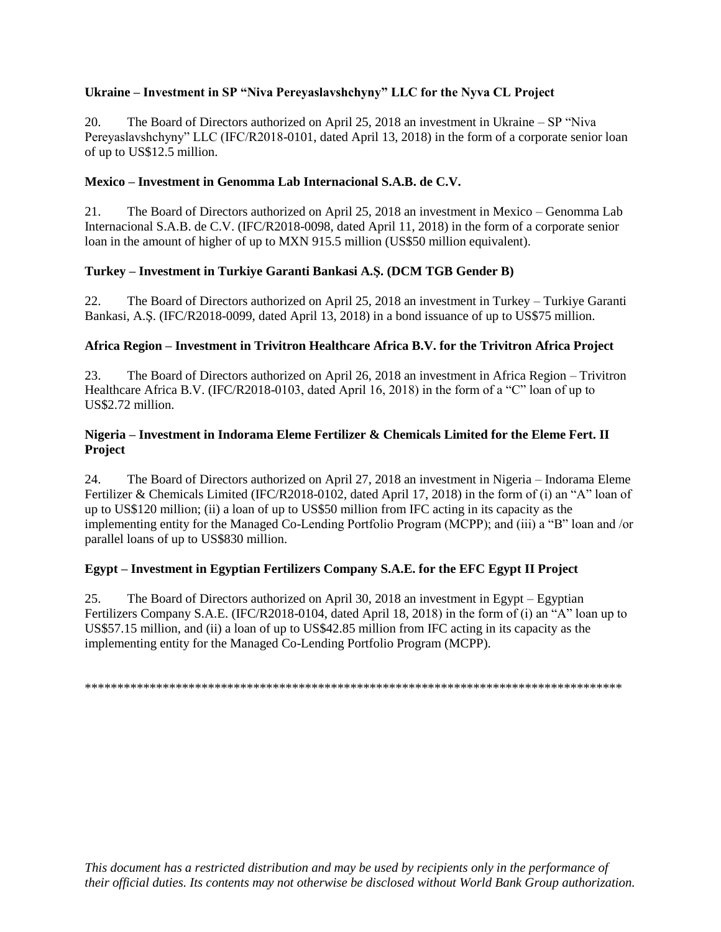# **Ukraine – Investment in SP "Niva Pereyaslavshchyny" LLC for the Nyva CL Project**

20. The Board of Directors authorized on April 25, 2018 an investment in Ukraine – SP "Niva Pereyaslavshchyny" LLC (IFC/R2018-0101, dated April 13, 2018) in the form of a corporate senior loan of up to US\$12.5 million.

### **Mexico – Investment in Genomma Lab Internacional S.A.B. de C.V.**

21. The Board of Directors authorized on April 25, 2018 an investment in Mexico – Genomma Lab Internacional S.A.B. de C.V. (IFC/R2018-0098, dated April 11, 2018) in the form of a corporate senior loan in the amount of higher of up to MXN 915.5 million (US\$50 million equivalent).

### **Turkey – Investment in Turkiye Garanti Bankasi A.Ş. (DCM TGB Gender B)**

22. The Board of Directors authorized on April 25, 2018 an investment in Turkey – Turkiye Garanti Bankasi, A.Ş. (IFC/R2018-0099, dated April 13, 2018) in a bond issuance of up to US\$75 million.

### **Africa Region – Investment in Trivitron Healthcare Africa B.V. for the Trivitron Africa Project**

23. The Board of Directors authorized on April 26, 2018 an investment in Africa Region – Trivitron Healthcare Africa B.V. (IFC/R2018-0103, dated April 16, 2018) in the form of a "C" loan of up to US\$2.72 million.

#### **Nigeria – Investment in Indorama Eleme Fertilizer & Chemicals Limited for the Eleme Fert. II Project**

24. The Board of Directors authorized on April 27, 2018 an investment in Nigeria – Indorama Eleme Fertilizer & Chemicals Limited (IFC/R2018-0102, dated April 17, 2018) in the form of (i) an "A" loan of up to US\$120 million; (ii) a loan of up to US\$50 million from IFC acting in its capacity as the implementing entity for the Managed Co-Lending Portfolio Program (MCPP); and (iii) a "B" loan and /or parallel loans of up to US\$830 million.

# **Egypt – Investment in Egyptian Fertilizers Company S.A.E. for the EFC Egypt II Project**

25. The Board of Directors authorized on April 30, 2018 an investment in Egypt – Egyptian Fertilizers Company S.A.E. (IFC/R2018-0104, dated April 18, 2018) in the form of (i) an "A" loan up to US\$57.15 million, and (ii) a loan of up to US\$42.85 million from IFC acting in its capacity as the implementing entity for the Managed Co-Lending Portfolio Program (MCPP).

\*\*\*\*\*\*\*\*\*\*\*\*\*\*\*\*\*\*\*\*\*\*\*\*\*\*\*\*\*\*\*\*\*\*\*\*\*\*\*\*\*\*\*\*\*\*\*\*\*\*\*\*\*\*\*\*\*\*\*\*\*\*\*\*\*\*\*\*\*\*\*\*\*\*\*\*\*\*\*\*\*\*\*